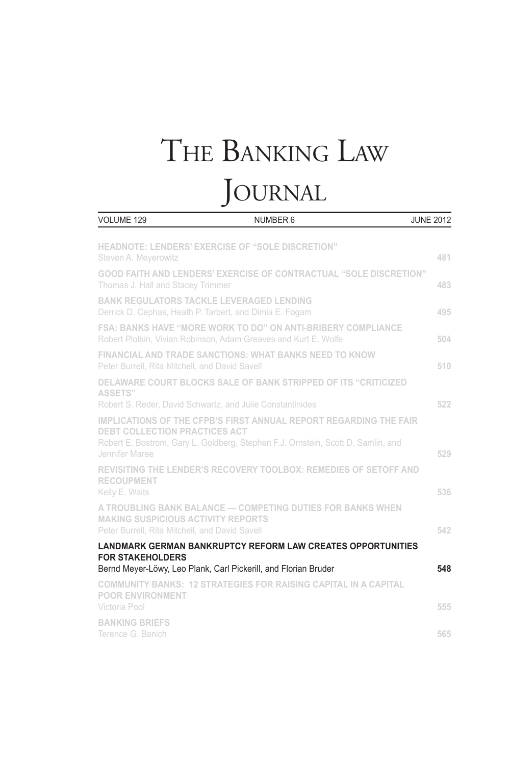# The Banking Law **JOURNAL**

| VOLUME 129                                                                                                 | NUMBER 6                                                                                                                                                     | <b>JUNE 2012</b> |
|------------------------------------------------------------------------------------------------------------|--------------------------------------------------------------------------------------------------------------------------------------------------------------|------------------|
| Steven A. Meyerowitz                                                                                       | HEADNOTE: LENDERS' EXERCISE OF "SOLE DISCRETION"                                                                                                             | 481              |
| Thomas J. Hall and Stacey Trimmer                                                                          | <b>GOOD FAITH AND LENDERS' EXERCISE OF CONTRACTUAL "SOLE DISCRETION"</b>                                                                                     | 483              |
| <b>BANK REGULATORS TACKLE LEVERAGED LENDING</b><br>Derrick D. Cephas, Heath P. Tarbert, and Dimia E. Fogam |                                                                                                                                                              | 495              |
|                                                                                                            | <b>FSA: BANKS HAVE "MORE WORK TO DO" ON ANTI-BRIBERY COMPLIANCE</b><br>Robert Plotkin, Vivian Robinson, Adam Greaves and Kurt E. Wolfe                       | 504              |
| Peter Burrell, Rita Mitchell, and David Savell                                                             | <b>FINANCIAL AND TRADE SANCTIONS: WHAT BANKS NEED TO KNOW</b>                                                                                                | 510              |
| <b>ASSETS"</b><br>Robert S. Reder, David Schwartz, and Julie Constantinides                                | DELAWARE COURT BLOCKS SALE OF BANK STRIPPED OF ITS "CRITICIZED                                                                                               | 522              |
| <b>DEBT COLLECTION PRACTICES ACT</b><br>Jennifer Maree                                                     | <b>IMPLICATIONS OF THE CFPB'S FIRST ANNUAL REPORT REGARDING THE FAIR</b><br>Robert E. Bostrom, Gary L. Goldberg, Stephen F.J. Ornstein, Scott D. Samlin, and | 529              |
| <b>RECOUPMENT</b><br>Kelly E. Waits                                                                        | <b>REVISITING THE LENDER'S RECOVERY TOOLBOX: REMEDIES OF SETOFF AND</b>                                                                                      | 536              |
| <b>MAKING SUSPICIOUS ACTIVITY REPORTS</b><br>Peter Burrell, Rita Mitchell, and David Savell                | A TROUBLING BANK BALANCE - COMPETING DUTIES FOR BANKS WHEN                                                                                                   | 542              |
| <b>FOR STAKEHOLDERS</b>                                                                                    | <b>LANDMARK GERMAN BANKRUPTCY REFORM LAW CREATES OPPORTUNITIES</b>                                                                                           |                  |
|                                                                                                            | Bernd Meyer-Löwy, Leo Plank, Carl Pickerill, and Florian Bruder                                                                                              | 548              |
| <b>POOR ENVIRONMENT</b><br>Victoria Pool                                                                   | <b>COMMUNITY BANKS: 12 STRATEGIES FOR RAISING CAPITAL IN A CAPITAL</b>                                                                                       | 555              |
| <b>BANKING BRIEFS</b><br>Terence G. Banich                                                                 |                                                                                                                                                              | 565              |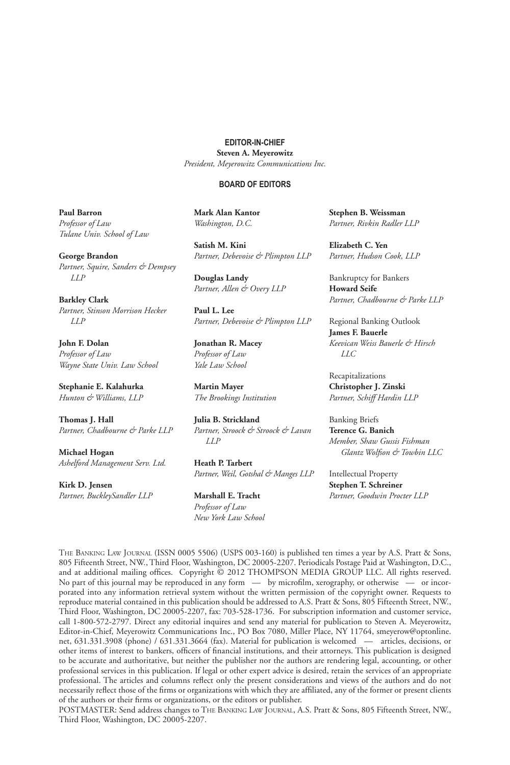#### **EDITOR-IN-CHIEF**

**Steven A. Meyerowitz** *President, Meyerowitz Communications Inc.*

#### **BOARD OF EDITORS**

**Paul Barron** *Professor of Law Tulane Univ. School of Law* 

**George Brandon** *Partner, Squire, Sanders & Dempsey LLP* 

**Barkley Clark** *Partner, Stinson Morrison Hecker LLP*

**John F. Dolan** *Professor of Law Wayne State Univ. Law School*

**Stephanie E. Kalahurka** *Hunton & Williams, LLP*

**Thomas J. Hall**  *Partner, Chadbourne & Parke LLP*

**Michael Hogan** *Ashelford Management Serv. Ltd.*

**Kirk D. Jensen** *Partner, BuckleySandler LLP*  **Mark Alan Kantor** *Washington, D.C.*

**Satish M. Kini** *Partner, Debevoise & Plimpton LLP*

**Douglas Landy** *Partner, Allen & Overy LLP* 

**Paul L. Lee** *Partner, Debevoise & Plimpton LLP*

**Jonathan R. Macey**  *Professor of Law Yale Law School*

**Martin Mayer** *The Brookings Institution*

**Julia B. Strickland** *Partner, Stroock & Stroock & Lavan LLP*

**Heath P. Tarbert** *Partner, Weil, Gotshal & Manges LLP* 

**Marshall E. Tracht**  *Professor of Law New York Law School* **Stephen B. Weissman**  *Partner, Rivkin Radler LLP*

**Elizabeth C. Yen** *Partner, Hudson Cook, LLP*

Bankruptcy for Bankers **Howard Seife** *Partner, Chadbourne & Parke LLP*

Regional Banking Outlook **James F. Bauerle** *Keevican Weiss Bauerle & Hirsch LLC*

Recapitalizations **Christopher J. Zinski** *Partner, Schiff Hardin LLP*

Banking Briefs **Terence G. Banich** *Member, Shaw Gussis Fishman Glantz Wolfson & Towbin LLC*

Intellectual Property **Stephen T. Schreiner** *Partner, Goodwin Procter LLP*

The Banking Law Journal (ISSN 0005 5506) (USPS 003-160) is published ten times a year by A.S. Pratt & Sons, 805 Fifteenth Street, NW., Third Floor, Washington, DC 20005-2207. Periodicals Postage Paid at Washington, D.C., and at additional mailing offices. Copyright @ 2012 THOMPSON MEDIA GROUP LLC. All rights reserved. No part of this journal may be reproduced in any form — by microfilm, xerography, or otherwise — or incorporated into any information retrieval system without the written permission of the copyright owner. Requests to reproduce material contained in this publication should be addressed to A.S. Pratt & Sons, 805 Fifteenth Street, NW., Third Floor, Washington, DC 20005-2207, fax: 703-528-1736. For subscription information and customer service, call 1-800-572-2797. Direct any editorial inquires and send any material for publication to Steven A. Meyerowitz, Editor-in-Chief, Meyerowitz Communications Inc., PO Box 7080, Miller Place, NY 11764, smeyerow@optonline. net, 631.331.3908 (phone) / 631.331.3664 (fax). Material for publication is welcomed — articles, decisions, or other items of interest to bankers, officers of financial institutions, and their attorneys. This publication is designed to be accurate and authoritative, but neither the publisher nor the authors are rendering legal, accounting, or other professional services in this publication. If legal or other expert advice is desired, retain the services of an appropriate professional. The articles and columns reflect only the present considerations and views of the authors and do not necessarily reflect those of the firms or organizations with which they are affiliated, any of the former or present clients of the authors or their firms or organizations, or the editors or publisher.

POSTMASTER: Send address changes to The Banking Law Journal, A.S. Pratt & Sons, 805 Fifteenth Street, NW., Third Floor, Washington, DC 20005-2207.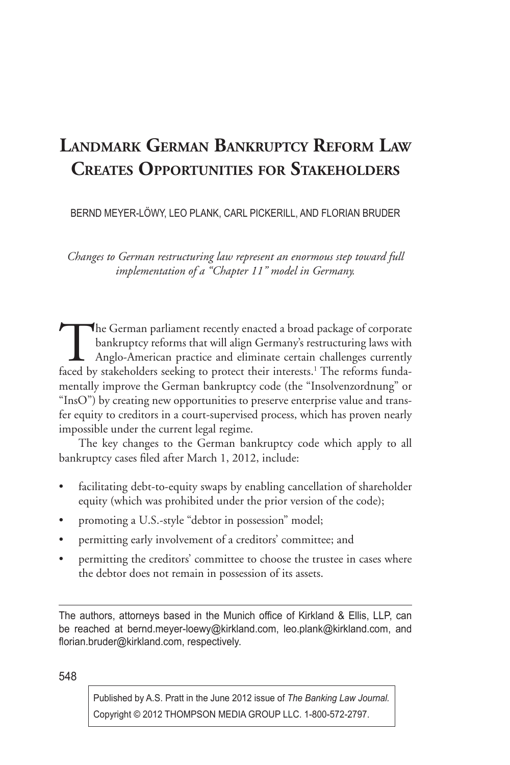# **Landmark German Bankruptcy Reform Law Creates Opportunities for Stakeholders**

BERND MEYER-LÖWY, LEO PLANK, CARL PICKERILL, AND FLORIAN BRUDER

*Changes to German restructuring law represent an enormous step toward full implementation of a "Chapter 11" model in Germany.*

The German parliament recently enacted a broad package of corporate<br>bankruptcy reforms that will align Germany's restructuring laws with<br>Anglo-American practice and eliminate certain challenges currently<br>faced by stakehold bankruptcy reforms that will align Germany's restructuring laws with Anglo-American practice and eliminate certain challenges currently faced by stakeholders seeking to protect their interests.<sup>1</sup> The reforms fundamentally improve the German bankruptcy code (the "Insolvenzordnung" or "InsO") by creating new opportunities to preserve enterprise value and transfer equity to creditors in a court-supervised process, which has proven nearly impossible under the current legal regime.

The key changes to the German bankruptcy code which apply to all bankruptcy cases filed after March 1, 2012, include:

- facilitating debt-to-equity swaps by enabling cancellation of shareholder equity (which was prohibited under the prior version of the code);
- promoting a U.S.-style "debtor in possession" model;
- permitting early involvement of a creditors' committee; and
- permitting the creditors' committee to choose the trustee in cases where the debtor does not remain in possession of its assets.

The authors, attorneys based in the Munich office of Kirkland & Ellis, LLP, can be reached at bernd.meyer-loewy@kirkland.com, leo.plank@kirkland.com, and florian.bruder@kirkland.com, respectively.

548

Published by A.S. Pratt in the June 2012 issue of *The Banking Law Journal.* Copyright © 2012 THOMPSON MEDIA GROUP LLC. 1-800-572-2797.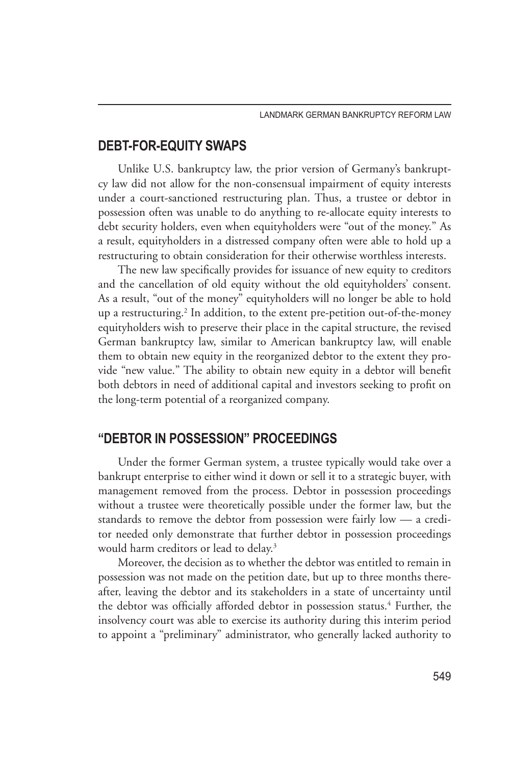## **DEBT-FOR-EQUITY SWAPS**

Unlike U.S. bankruptcy law, the prior version of Germany's bankruptcy law did not allow for the non-consensual impairment of equity interests under a court-sanctioned restructuring plan. Thus, a trustee or debtor in possession often was unable to do anything to re-allocate equity interests to debt security holders, even when equityholders were "out of the money." As a result, equityholders in a distressed company often were able to hold up a restructuring to obtain consideration for their otherwise worthless interests.

The new law specifically provides for issuance of new equity to creditors and the cancellation of old equity without the old equityholders' consent. As a result, "out of the money" equityholders will no longer be able to hold up a restructuring.2 In addition, to the extent pre-petition out-of-the-money equityholders wish to preserve their place in the capital structure, the revised German bankruptcy law, similar to American bankruptcy law, will enable them to obtain new equity in the reorganized debtor to the extent they provide "new value." The ability to obtain new equity in a debtor will benefit both debtors in need of additional capital and investors seeking to profit on the long-term potential of a reorganized company.

#### **"DEBTOR IN POSSESSION" PROCEEDINGS**

Under the former German system, a trustee typically would take over a bankrupt enterprise to either wind it down or sell it to a strategic buyer, with management removed from the process. Debtor in possession proceedings without a trustee were theoretically possible under the former law, but the standards to remove the debtor from possession were fairly low — a creditor needed only demonstrate that further debtor in possession proceedings would harm creditors or lead to delay.<sup>3</sup>

Moreover, the decision as to whether the debtor was entitled to remain in possession was not made on the petition date, but up to three months thereafter, leaving the debtor and its stakeholders in a state of uncertainty until the debtor was officially afforded debtor in possession status.<sup>4</sup> Further, the insolvency court was able to exercise its authority during this interim period to appoint a "preliminary" administrator, who generally lacked authority to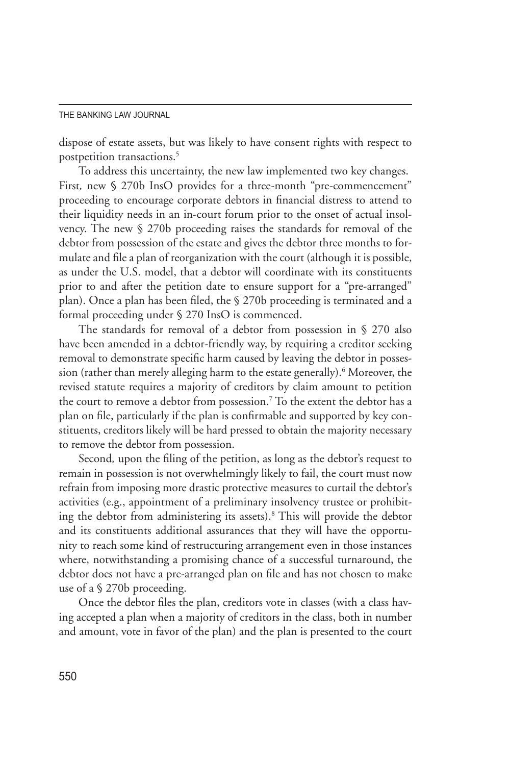dispose of estate assets, but was likely to have consent rights with respect to postpetition transactions.<sup>5</sup>

To address this uncertainty, the new law implemented two key changes. First, new § 270b InsO provides for a three-month "pre-commencement" proceeding to encourage corporate debtors in financial distress to attend to their liquidity needs in an in-court forum prior to the onset of actual insolvency. The new § 270b proceeding raises the standards for removal of the debtor from possession of the estate and gives the debtor three months to formulate and file a plan of reorganization with the court (although it is possible, as under the U.S. model, that a debtor will coordinate with its constituents prior to and after the petition date to ensure support for a "pre-arranged" plan). Once a plan has been filed, the § 270b proceeding is terminated and a formal proceeding under § 270 InsO is commenced.

The standards for removal of a debtor from possession in § 270 also have been amended in a debtor-friendly way, by requiring a creditor seeking removal to demonstrate specific harm caused by leaving the debtor in possession (rather than merely alleging harm to the estate generally).<sup>6</sup> Moreover, the revised statute requires a majority of creditors by claim amount to petition the court to remove a debtor from possession.<sup>7</sup> To the extent the debtor has a plan on file, particularly if the plan is confirmable and supported by key constituents, creditors likely will be hard pressed to obtain the majority necessary to remove the debtor from possession.

Second*,* upon the filing of the petition, as long as the debtor's request to remain in possession is not overwhelmingly likely to fail, the court must now refrain from imposing more drastic protective measures to curtail the debtor's activities (e.g., appointment of a preliminary insolvency trustee or prohibiting the debtor from administering its assets).<sup>8</sup> This will provide the debtor and its constituents additional assurances that they will have the opportunity to reach some kind of restructuring arrangement even in those instances where, notwithstanding a promising chance of a successful turnaround, the debtor does not have a pre-arranged plan on file and has not chosen to make use of a § 270b proceeding.

Once the debtor files the plan, creditors vote in classes (with a class having accepted a plan when a majority of creditors in the class, both in number and amount, vote in favor of the plan) and the plan is presented to the court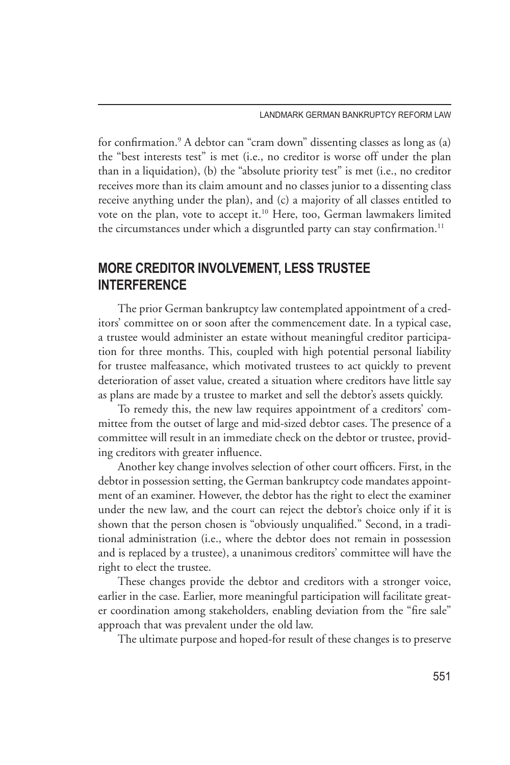for confirmation.9 A debtor can "cram down" dissenting classes as long as (a) the "best interests test" is met (i.e., no creditor is worse off under the plan than in a liquidation), (b) the "absolute priority test" is met (i.e., no creditor receives more than its claim amount and no classes junior to a dissenting class receive anything under the plan), and (c) a majority of all classes entitled to vote on the plan, vote to accept it.<sup>10</sup> Here, too, German lawmakers limited the circumstances under which a disgruntled party can stay confirmation.<sup>11</sup>

# **MORE CREDITOR INVOLVEMENT, LESS TRUSTEE INTERFERENCE**

The prior German bankruptcy law contemplated appointment of a creditors' committee on or soon after the commencement date. In a typical case, a trustee would administer an estate without meaningful creditor participation for three months. This, coupled with high potential personal liability for trustee malfeasance, which motivated trustees to act quickly to prevent deterioration of asset value, created a situation where creditors have little say as plans are made by a trustee to market and sell the debtor's assets quickly.

To remedy this, the new law requires appointment of a creditors' committee from the outset of large and mid-sized debtor cases. The presence of a committee will result in an immediate check on the debtor or trustee, providing creditors with greater influence.

Another key change involves selection of other court officers. First, in the debtor in possession setting, the German bankruptcy code mandates appointment of an examiner. However, the debtor has the right to elect the examiner under the new law, and the court can reject the debtor's choice only if it is shown that the person chosen is "obviously unqualified." Second, in a traditional administration (i.e., where the debtor does not remain in possession and is replaced by a trustee), a unanimous creditors' committee will have the right to elect the trustee.

These changes provide the debtor and creditors with a stronger voice, earlier in the case. Earlier, more meaningful participation will facilitate greater coordination among stakeholders, enabling deviation from the "fire sale" approach that was prevalent under the old law.

The ultimate purpose and hoped-for result of these changes is to preserve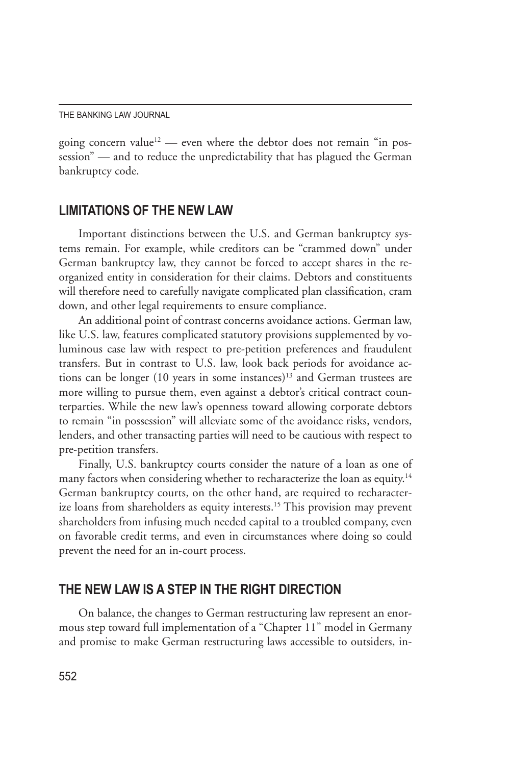going concern value<sup>12</sup> — even where the debtor does not remain "in possession" — and to reduce the unpredictability that has plagued the German bankruptcy code.

### **LIMITATIONS OF THE NEW LAW**

Important distinctions between the U.S. and German bankruptcy systems remain. For example, while creditors can be "crammed down" under German bankruptcy law, they cannot be forced to accept shares in the reorganized entity in consideration for their claims. Debtors and constituents will therefore need to carefully navigate complicated plan classification, cram down, and other legal requirements to ensure compliance.

An additional point of contrast concerns avoidance actions. German law, like U.S. law, features complicated statutory provisions supplemented by voluminous case law with respect to pre-petition preferences and fraudulent transfers. But in contrast to U.S. law, look back periods for avoidance actions can be longer (10 years in some instances)<sup>13</sup> and German trustees are more willing to pursue them, even against a debtor's critical contract counterparties. While the new law's openness toward allowing corporate debtors to remain "in possession" will alleviate some of the avoidance risks, vendors, lenders, and other transacting parties will need to be cautious with respect to pre-petition transfers.

Finally, U.S. bankruptcy courts consider the nature of a loan as one of many factors when considering whether to recharacterize the loan as equity.<sup>14</sup> German bankruptcy courts, on the other hand, are required to recharacterize loans from shareholders as equity interests.<sup>15</sup> This provision may prevent shareholders from infusing much needed capital to a troubled company, even on favorable credit terms, and even in circumstances where doing so could prevent the need for an in-court process.

#### **THE NEW LAW IS A STEP IN THE RIGHT DIRECTION**

On balance, the changes to German restructuring law represent an enormous step toward full implementation of a "Chapter 11" model in Germany and promise to make German restructuring laws accessible to outsiders, in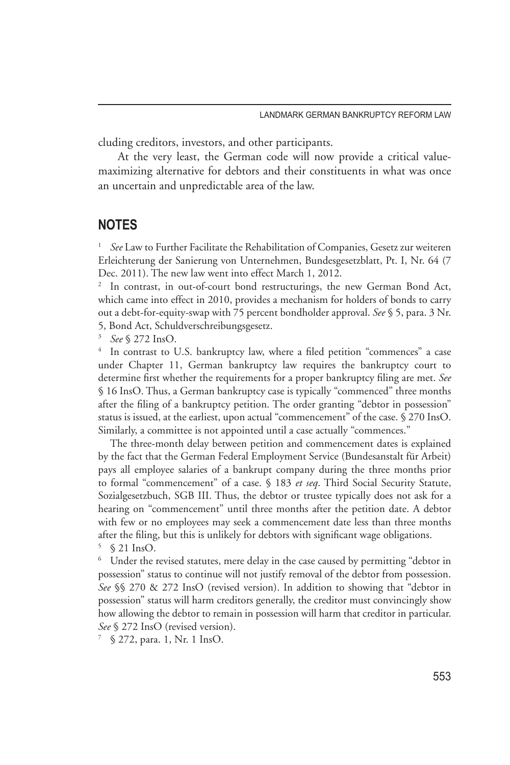cluding creditors, investors, and other participants.

At the very least, the German code will now provide a critical valuemaximizing alternative for debtors and their constituents in what was once an uncertain and unpredictable area of the law.

#### **NOTES**

<sup>1</sup> *See* Law to Further Facilitate the Rehabilitation of Companies, Gesetz zur weiteren Erleichterung der Sanierung von Unternehmen, Bundesgesetzblatt, Pt. I, Nr. 64 (7 Dec. 2011). The new law went into effect March 1, 2012.

<sup>2</sup> In contrast, in out-of-court bond restructurings, the new German Bond Act, which came into effect in 2010, provides a mechanism for holders of bonds to carry out a debt-for-equity-swap with 75 percent bondholder approval. *See* § 5, para. 3 Nr. 5, Bond Act, Schuldverschreibungsgesetz.

<sup>3</sup> *See* § 272 InsO.

In contrast to U.S. bankruptcy law, where a filed petition "commences" a case under Chapter 11, German bankruptcy law requires the bankruptcy court to determine first whether the requirements for a proper bankruptcy filing are met. *See* § 16 InsO. Thus, a German bankruptcy case is typically "commenced" three months after the filing of a bankruptcy petition. The order granting "debtor in possession" status is issued, at the earliest, upon actual "commencement" of the case. § 270 InsO. Similarly, a committee is not appointed until a case actually "commences."

The three-month delay between petition and commencement dates is explained by the fact that the German Federal Employment Service (Bundesanstalt für Arbeit) pays all employee salaries of a bankrupt company during the three months prior to formal "commencement" of a case. § 183 *et seq*. Third Social Security Statute, Sozialgesetzbuch, SGB III. Thus, the debtor or trustee typically does not ask for a hearing on "commencement" until three months after the petition date. A debtor with few or no employees may seek a commencement date less than three months after the filing, but this is unlikely for debtors with significant wage obligations. <sup>5</sup> § 21 InsO.

<sup>6</sup> Under the revised statutes, mere delay in the case caused by permitting "debtor in possession" status to continue will not justify removal of the debtor from possession. *See* §§ 270 & 272 InsO (revised version). In addition to showing that "debtor in possession" status will harm creditors generally, the creditor must convincingly show how allowing the debtor to remain in possession will harm that creditor in particular. *See* § 272 InsO (revised version).

§ 272, para. 1, Nr. 1 InsO.